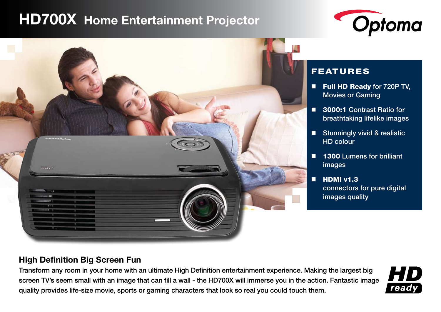# **HD700X Home Entertainment Projector**





# FEATURES

- Full HD Ready for 720P TV, Movies or Gaming
- 3000:1 Contrast Ratio for breathtaking lifelike images
- **Stunningly vivid & realistic** HD colour
- 1300 Lumens for brilliant images
- $\blacksquare$  HDMI v1.3 connectors for pure digital images quality

## **High Definition Big Screen Fun**

Transform any room in your home with an ultimate High Definition entertainment experience. Making the largest big screen TV's seem small with an image that can fill a wall - the HD700X will immerse you in the action. Fantastic image quality provides life-size movie, sports or gaming characters that look so real you could touch them.